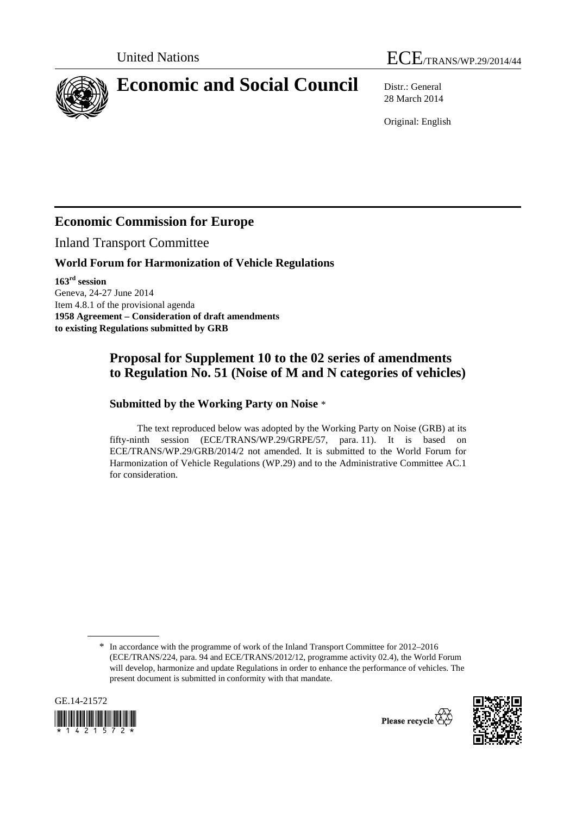



# **Economic and Social Council** Distr.: General

28 March 2014

Original: English

# **Economic Commission for Europe**

Inland Transport Committee

#### **World Forum for Harmonization of Vehicle Regulations**

**163rd session**  Geneva, 24-27 June 2014 Item 4.8.1 of the provisional agenda **1958 Agreement – Consideration of draft amendments to existing Regulations submitted by GRB** 

## **Proposal for Supplement 10 to the 02 series of amendments to Regulation No. 51 (Noise of M and N categories of vehicles)**

### **Submitted by the Working Party on Noise** \*

The text reproduced below was adopted by the Working Party on Noise (GRB) at its fifty-ninth session (ECE/TRANS/WP.29/GRPE/57, para. 11). It is based on ECE/TRANS/WP.29/GRB/2014/2 not amended. It is submitted to the World Forum for Harmonization of Vehicle Regulations (WP.29) and to the Administrative Committee AC.1 for consideration.

<sup>\*</sup> In accordance with the programme of work of the Inland Transport Committee for 2012–2016 (ECE/TRANS/224, para. 94 and ECE/TRANS/2012/12, programme activity 02.4), the World Forum will develop, harmonize and update Regulations in order to enhance the performance of vehicles. The present document is submitted in conformity with that mandate.